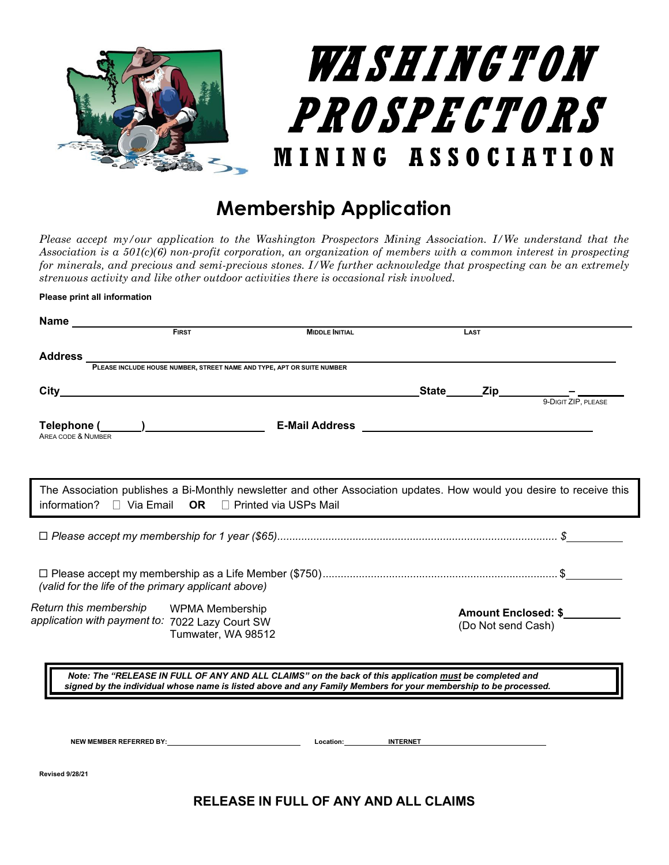

## **Membership Application**

*Please accept my/our application to the Washington Prospectors Mining Association. I/We understand that the Association is a 501(c)(6) non-profit corporation, an organization of members with a common interest in prospecting for minerals, and precious and semi-precious stones. I/We further acknowledge that prospecting can be an extremely strenuous activity and like other outdoor activities there is occasional risk involved.*

**Please print all information**

| Name                                                |                               |                                                                                                                       |                          |                     |
|-----------------------------------------------------|-------------------------------|-----------------------------------------------------------------------------------------------------------------------|--------------------------|---------------------|
|                                                     | <b>FIRST</b>                  | <b>MIDDLE INITIAL</b>                                                                                                 | <b>LAST</b>              |                     |
| <b>Address</b>                                      |                               |                                                                                                                       |                          |                     |
|                                                     |                               | <b>PLEASE INCLUDE HOUSE NUMBER, STREET NAME AND TYPE, APT OR SUITE NUMBER</b>                                         |                          |                     |
| City                                                |                               |                                                                                                                       | _State_______Zip________ |                     |
|                                                     |                               |                                                                                                                       |                          | 9-DIGIT ZIP, PLEASE |
|                                                     |                               |                                                                                                                       |                          |                     |
| AREA CODE & NUMBER                                  |                               |                                                                                                                       |                          |                     |
|                                                     |                               |                                                                                                                       |                          |                     |
|                                                     |                               |                                                                                                                       |                          |                     |
|                                                     |                               | The Association publishes a Bi-Monthly newsletter and other Association updates. How would you desire to receive this |                          |                     |
| information?                                        | $\Box$ Via Email<br><b>OR</b> | □ Printed via USPs Mail                                                                                               |                          |                     |
|                                                     |                               |                                                                                                                       |                          |                     |
|                                                     |                               |                                                                                                                       |                          |                     |
|                                                     |                               |                                                                                                                       |                          |                     |
|                                                     |                               |                                                                                                                       |                          |                     |
| (valid for the life of the primary applicant above) |                               |                                                                                                                       |                          |                     |
|                                                     |                               |                                                                                                                       |                          |                     |
| Return this membership<br><b>WPMA Membership</b>    |                               |                                                                                                                       | Amount Enclosed: \$      |                     |
| application with payment to: 7022 Lazy Court SW     |                               |                                                                                                                       | (Do Not send Cash)       |                     |
|                                                     | Tumwater, WA 98512            |                                                                                                                       |                          |                     |
|                                                     |                               |                                                                                                                       |                          |                     |
|                                                     |                               | Note: The "RELEASE IN FULL OF ANY AND ALL CLAIMS" on the back of this application must be completed and               |                          |                     |
|                                                     |                               | signed by the individual whose name is listed above and any Family Members for your membership to be processed.       |                          |                     |
|                                                     |                               |                                                                                                                       |                          |                     |
|                                                     |                               |                                                                                                                       |                          |                     |
|                                                     |                               |                                                                                                                       |                          |                     |

**Revised 9/28/21**

## **RELEASE IN FULL OF ANY AND ALL CLAIMS**

**NEW MEMBER REFERRED BY: Location: INTERNET**